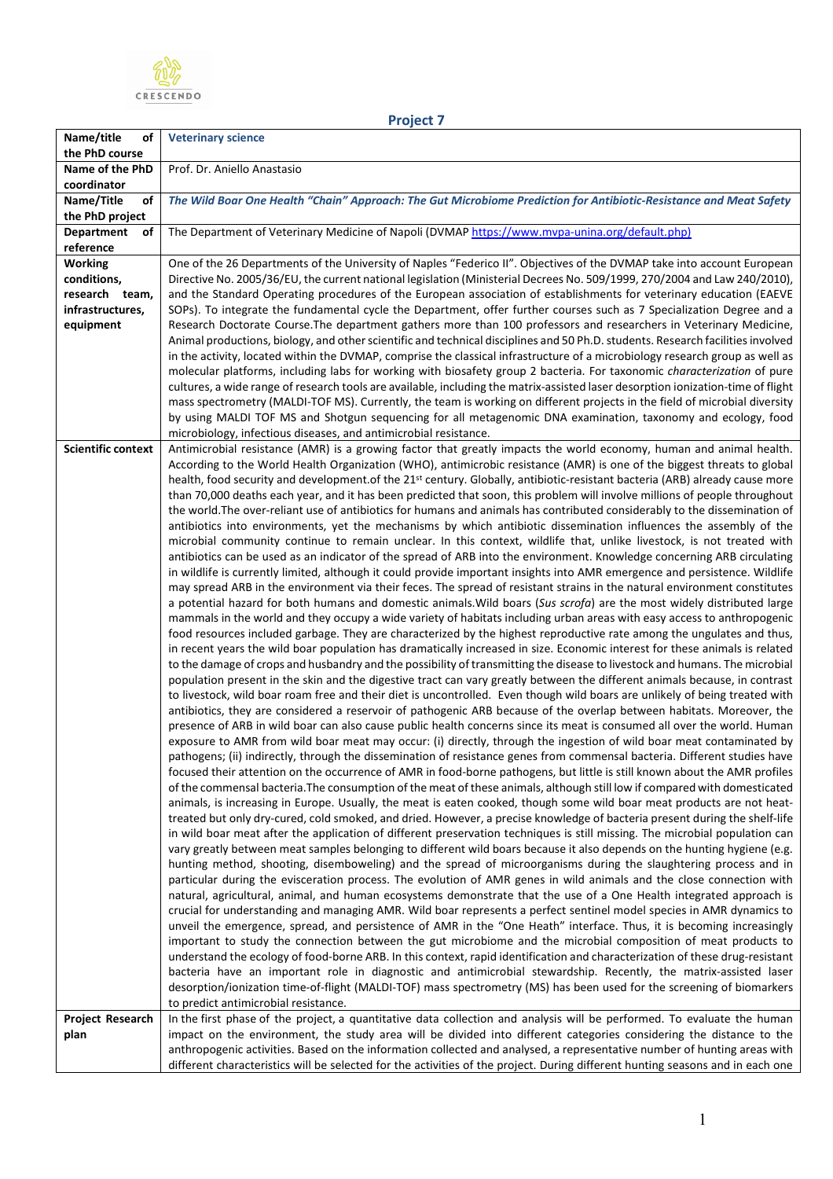

|--|

| Name/title<br>οf                     | <b>Veterinary science</b>                                                                                                                                                                                                                                             |
|--------------------------------------|-----------------------------------------------------------------------------------------------------------------------------------------------------------------------------------------------------------------------------------------------------------------------|
| the PhD course                       |                                                                                                                                                                                                                                                                       |
| Name of the PhD                      | Prof. Dr. Aniello Anastasio                                                                                                                                                                                                                                           |
| coordinator                          |                                                                                                                                                                                                                                                                       |
| Name/Title<br>οf                     | The Wild Boar One Health "Chain" Approach: The Gut Microbiome Prediction for Antibiotic-Resistance and Meat Safety                                                                                                                                                    |
| the PhD project                      |                                                                                                                                                                                                                                                                       |
| <b>Department</b><br>оf<br>reference | The Department of Veterinary Medicine of Napoli (DVMAP https://www.mvpa-unina.org/default.php)                                                                                                                                                                        |
| <b>Working</b>                       | One of the 26 Departments of the University of Naples "Federico II". Objectives of the DVMAP take into account European                                                                                                                                               |
| conditions,                          | Directive No. 2005/36/EU, the current national legislation (Ministerial Decrees No. 509/1999, 270/2004 and Law 240/2010),                                                                                                                                             |
| research team,                       | and the Standard Operating procedures of the European association of establishments for veterinary education (EAEVE                                                                                                                                                   |
| infrastructures,                     | SOPs). To integrate the fundamental cycle the Department, offer further courses such as 7 Specialization Degree and a                                                                                                                                                 |
| equipment                            | Research Doctorate Course. The department gathers more than 100 professors and researchers in Veterinary Medicine,                                                                                                                                                    |
|                                      | Animal productions, biology, and other scientific and technical disciplines and 50 Ph.D. students. Research facilities involved                                                                                                                                       |
|                                      | in the activity, located within the DVMAP, comprise the classical infrastructure of a microbiology research group as well as                                                                                                                                          |
|                                      | molecular platforms, including labs for working with biosafety group 2 bacteria. For taxonomic characterization of pure                                                                                                                                               |
|                                      | cultures, a wide range of research tools are available, including the matrix-assisted laser desorption ionization-time of flight                                                                                                                                      |
|                                      | mass spectrometry (MALDI-TOF MS). Currently, the team is working on different projects in the field of microbial diversity                                                                                                                                            |
|                                      | by using MALDI TOF MS and Shotgun sequencing for all metagenomic DNA examination, taxonomy and ecology, food                                                                                                                                                          |
|                                      | microbiology, infectious diseases, and antimicrobial resistance.                                                                                                                                                                                                      |
| <b>Scientific context</b>            | Antimicrobial resistance (AMR) is a growing factor that greatly impacts the world economy, human and animal health.                                                                                                                                                   |
|                                      | According to the World Health Organization (WHO), antimicrobic resistance (AMR) is one of the biggest threats to global                                                                                                                                               |
|                                      | health, food security and development of the 21 <sup>st</sup> century. Globally, antibiotic-resistant bacteria (ARB) already cause more<br>than 70,000 deaths each year, and it has been predicted that soon, this problem will involve millions of people throughout |
|                                      | the world. The over-reliant use of antibiotics for humans and animals has contributed considerably to the dissemination of                                                                                                                                            |
|                                      | antibiotics into environments, yet the mechanisms by which antibiotic dissemination influences the assembly of the                                                                                                                                                    |
|                                      | microbial community continue to remain unclear. In this context, wildlife that, unlike livestock, is not treated with                                                                                                                                                 |
|                                      | antibiotics can be used as an indicator of the spread of ARB into the environment. Knowledge concerning ARB circulating                                                                                                                                               |
|                                      | in wildlife is currently limited, although it could provide important insights into AMR emergence and persistence. Wildlife                                                                                                                                           |
|                                      | may spread ARB in the environment via their feces. The spread of resistant strains in the natural environment constitutes                                                                                                                                             |
|                                      | a potential hazard for both humans and domestic animals. Wild boars (Sus scrofa) are the most widely distributed large                                                                                                                                                |
|                                      | mammals in the world and they occupy a wide variety of habitats including urban areas with easy access to anthropogenic                                                                                                                                               |
|                                      | food resources included garbage. They are characterized by the highest reproductive rate among the ungulates and thus,                                                                                                                                                |
|                                      | in recent years the wild boar population has dramatically increased in size. Economic interest for these animals is related                                                                                                                                           |
|                                      | to the damage of crops and husbandry and the possibility of transmitting the disease to livestock and humans. The microbial                                                                                                                                           |
|                                      | population present in the skin and the digestive tract can vary greatly between the different animals because, in contrast                                                                                                                                            |
|                                      | to livestock, wild boar roam free and their diet is uncontrolled. Even though wild boars are unlikely of being treated with                                                                                                                                           |
|                                      | antibiotics, they are considered a reservoir of pathogenic ARB because of the overlap between habitats. Moreover, the                                                                                                                                                 |
|                                      | presence of ARB in wild boar can also cause public health concerns since its meat is consumed all over the world. Human<br>exposure to AMR from wild boar meat may occur: (i) directly, through the ingestion of wild boar meat contaminated by                       |
|                                      | pathogens; (ii) indirectly, through the dissemination of resistance genes from commensal bacteria. Different studies have                                                                                                                                             |
|                                      | focused their attention on the occurrence of AMR in food-borne pathogens, but little is still known about the AMR profiles                                                                                                                                            |
|                                      | of the commensal bacteria. The consumption of the meat of these animals, although still low if compared with domesticated                                                                                                                                             |
|                                      | animals, is increasing in Europe. Usually, the meat is eaten cooked, though some wild boar meat products are not heat-                                                                                                                                                |
|                                      | treated but only dry-cured, cold smoked, and dried. However, a precise knowledge of bacteria present during the shelf-life                                                                                                                                            |
|                                      | in wild boar meat after the application of different preservation techniques is still missing. The microbial population can                                                                                                                                           |
|                                      | vary greatly between meat samples belonging to different wild boars because it also depends on the hunting hygiene (e.g.                                                                                                                                              |
|                                      | hunting method, shooting, disemboweling) and the spread of microorganisms during the slaughtering process and in                                                                                                                                                      |
|                                      | particular during the evisceration process. The evolution of AMR genes in wild animals and the close connection with                                                                                                                                                  |
|                                      | natural, agricultural, animal, and human ecosystems demonstrate that the use of a One Health integrated approach is                                                                                                                                                   |
|                                      | crucial for understanding and managing AMR. Wild boar represents a perfect sentinel model species in AMR dynamics to                                                                                                                                                  |
|                                      | unveil the emergence, spread, and persistence of AMR in the "One Heath" interface. Thus, it is becoming increasingly                                                                                                                                                  |
|                                      | important to study the connection between the gut microbiome and the microbial composition of meat products to                                                                                                                                                        |
|                                      | understand the ecology of food-borne ARB. In this context, rapid identification and characterization of these drug-resistant<br>bacteria have an important role in diagnostic and antimicrobial stewardship. Recently, the matrix-assisted laser                      |
|                                      | desorption/ionization time-of-flight (MALDI-TOF) mass spectrometry (MS) has been used for the screening of biomarkers                                                                                                                                                 |
|                                      | to predict antimicrobial resistance.                                                                                                                                                                                                                                  |
| <b>Project Research</b>              | In the first phase of the project, a quantitative data collection and analysis will be performed. To evaluate the human                                                                                                                                               |
| plan                                 | impact on the environment, the study area will be divided into different categories considering the distance to the                                                                                                                                                   |
|                                      | anthropogenic activities. Based on the information collected and analysed, a representative number of hunting areas with                                                                                                                                              |
|                                      | different characteristics will be selected for the activities of the project. During different hunting seasons and in each one                                                                                                                                        |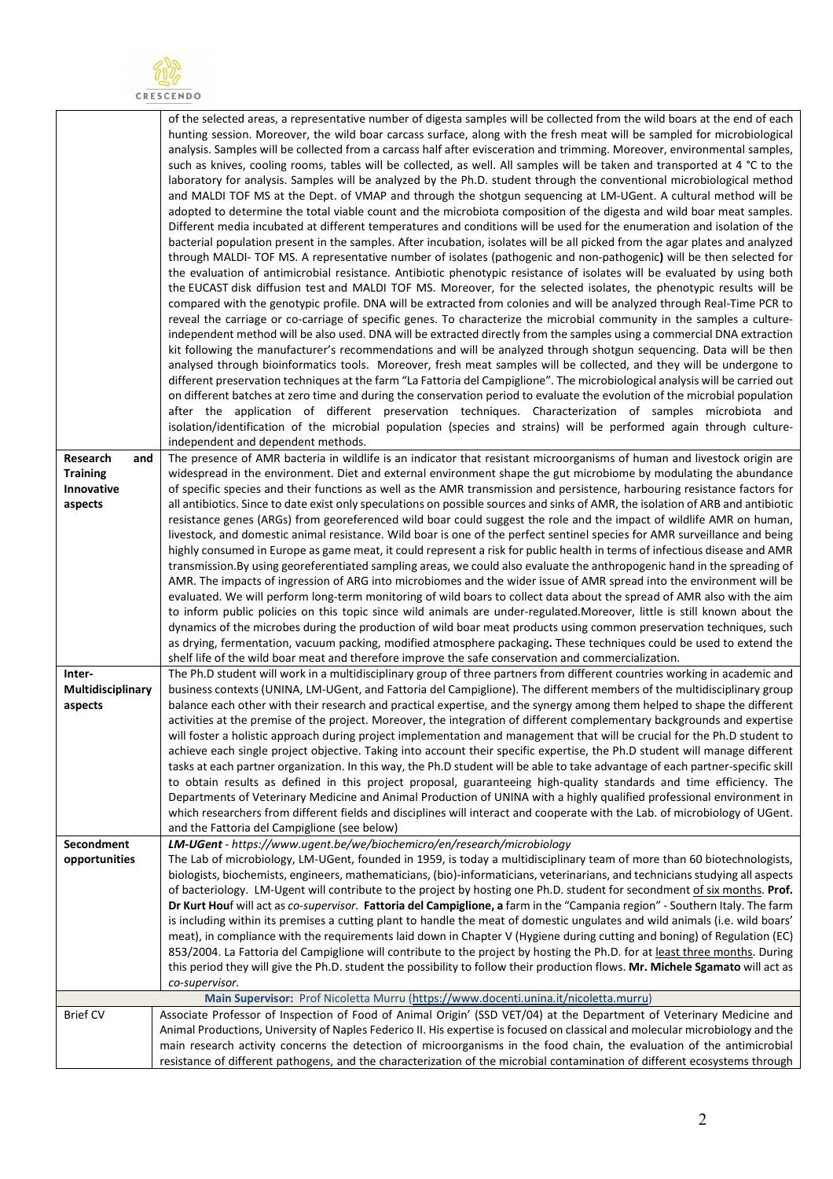

|                               | of the selected areas, a representative number of digesta samples will be collected from the wild boars at the end of each<br>hunting session. Moreover, the wild boar carcass surface, along with the fresh meat will be sampled for microbiological<br>analysis. Samples will be collected from a carcass half after evisceration and trimming. Moreover, environmental samples,                                                                                                                      |
|-------------------------------|---------------------------------------------------------------------------------------------------------------------------------------------------------------------------------------------------------------------------------------------------------------------------------------------------------------------------------------------------------------------------------------------------------------------------------------------------------------------------------------------------------|
|                               | such as knives, cooling rooms, tables will be collected, as well. All samples will be taken and transported at 4 °C to the<br>laboratory for analysis. Samples will be analyzed by the Ph.D. student through the conventional microbiological method<br>and MALDI TOF MS at the Dept. of VMAP and through the shotgun sequencing at LM-UGent. A cultural method will be<br>adopted to determine the total viable count and the microbiota composition of the digesta and wild boar meat samples.        |
|                               | Different media incubated at different temperatures and conditions will be used for the enumeration and isolation of the                                                                                                                                                                                                                                                                                                                                                                                |
|                               | bacterial population present in the samples. After incubation, isolates will be all picked from the agar plates and analyzed<br>through MALDI-TOF MS. A representative number of isolates (pathogenic and non-pathogenic) will be then selected for<br>the evaluation of antimicrobial resistance. Antibiotic phenotypic resistance of isolates will be evaluated by using both<br>the EUCAST disk diffusion test and MALDI TOF MS. Moreover, for the selected isolates, the phenotypic results will be |
|                               | compared with the genotypic profile. DNA will be extracted from colonies and will be analyzed through Real-Time PCR to                                                                                                                                                                                                                                                                                                                                                                                  |
|                               | reveal the carriage or co-carriage of specific genes. To characterize the microbial community in the samples a culture-<br>independent method will be also used. DNA will be extracted directly from the samples using a commercial DNA extraction<br>kit following the manufacturer's recommendations and will be analyzed through shotgun sequencing. Data will be then                                                                                                                               |
|                               | analysed through bioinformatics tools. Moreover, fresh meat samples will be collected, and they will be undergone to                                                                                                                                                                                                                                                                                                                                                                                    |
|                               | different preservation techniques at the farm "La Fattoria del Campiglione". The microbiological analysis will be carried out<br>on different batches at zero time and during the conservation period to evaluate the evolution of the microbial population                                                                                                                                                                                                                                             |
|                               | after the application of different preservation techniques. Characterization of samples microbiota and                                                                                                                                                                                                                                                                                                                                                                                                  |
|                               | isolation/identification of the microbial population (species and strains) will be performed again through culture-<br>independent and dependent methods.                                                                                                                                                                                                                                                                                                                                               |
| Research<br>and               | The presence of AMR bacteria in wildlife is an indicator that resistant microorganisms of human and livestock origin are                                                                                                                                                                                                                                                                                                                                                                                |
| <b>Training</b><br>Innovative | widespread in the environment. Diet and external environment shape the gut microbiome by modulating the abundance<br>of specific species and their functions as well as the AMR transmission and persistence, harbouring resistance factors for                                                                                                                                                                                                                                                         |
| aspects                       | all antibiotics. Since to date exist only speculations on possible sources and sinks of AMR, the isolation of ARB and antibiotic<br>resistance genes (ARGs) from georeferenced wild boar could suggest the role and the impact of wildlife AMR on human,                                                                                                                                                                                                                                                |
|                               | livestock, and domestic animal resistance. Wild boar is one of the perfect sentinel species for AMR surveillance and being                                                                                                                                                                                                                                                                                                                                                                              |
|                               | highly consumed in Europe as game meat, it could represent a risk for public health in terms of infectious disease and AMR<br>transmission. By using georeferentiated sampling areas, we could also evaluate the anthropogenic hand in the spreading of                                                                                                                                                                                                                                                 |
|                               | AMR. The impacts of ingression of ARG into microbiomes and the wider issue of AMR spread into the environment will be                                                                                                                                                                                                                                                                                                                                                                                   |
|                               | evaluated. We will perform long-term monitoring of wild boars to collect data about the spread of AMR also with the aim<br>to inform public policies on this topic since wild animals are under-regulated.Moreover, little is still known about the                                                                                                                                                                                                                                                     |
|                               | dynamics of the microbes during the production of wild boar meat products using common preservation techniques, such                                                                                                                                                                                                                                                                                                                                                                                    |
|                               | as drying, fermentation, vacuum packing, modified atmosphere packaging. These techniques could be used to extend the<br>shelf life of the wild boar meat and therefore improve the safe conservation and commercialization.                                                                                                                                                                                                                                                                             |
| Inter-<br>Multidisciplinary   | The Ph.D student will work in a multidisciplinary group of three partners from different countries working in academic and<br>business contexts (UNINA, LM-UGent, and Fattoria del Campiglione). The different members of the multidisciplinary group                                                                                                                                                                                                                                                   |
| aspects                       | balance each other with their research and practical expertise, and the synergy among them helped to shape the different                                                                                                                                                                                                                                                                                                                                                                                |
|                               | activities at the premise of the project. Moreover, the integration of different complementary backgrounds and expertise<br>will foster a holistic approach during project implementation and management that will be crucial for the Ph.D student to                                                                                                                                                                                                                                                   |
|                               | achieve each single project objective. Taking into account their specific expertise, the Ph.D student will manage different                                                                                                                                                                                                                                                                                                                                                                             |
|                               | tasks at each partner organization. In this way, the Ph.D student will be able to take advantage of each partner-specific skill<br>to obtain results as defined in this project proposal, guaranteeing high-quality standards and time efficiency. The                                                                                                                                                                                                                                                  |
|                               | Departments of Veterinary Medicine and Animal Production of UNINA with a highly qualified professional environment in<br>which researchers from different fields and disciplines will interact and cooperate with the Lab. of microbiology of UGent.                                                                                                                                                                                                                                                    |
|                               | and the Fattoria del Campiglione (see below)                                                                                                                                                                                                                                                                                                                                                                                                                                                            |
| Secondment<br>opportunities   | LM-UGent - https://www.ugent.be/we/biochemicro/en/research/microbiology<br>The Lab of microbiology, LM-UGent, founded in 1959, is today a multidisciplinary team of more than 60 biotechnologists,                                                                                                                                                                                                                                                                                                      |
|                               | biologists, biochemists, engineers, mathematicians, (bio)-informaticians, veterinarians, and technicians studying all aspects                                                                                                                                                                                                                                                                                                                                                                           |
|                               | of bacteriology. LM-Ugent will contribute to the project by hosting one Ph.D. student for secondment of six months. Prof.<br>Dr Kurt Houf will act as co-supervisor. Fattoria del Campiglione, a farm in the "Campania region" - Southern Italy. The farm                                                                                                                                                                                                                                               |
|                               | is including within its premises a cutting plant to handle the meat of domestic ungulates and wild animals (i.e. wild boars'                                                                                                                                                                                                                                                                                                                                                                            |
|                               | meat), in compliance with the requirements laid down in Chapter V (Hygiene during cutting and boning) of Regulation (EC)<br>853/2004. La Fattoria del Campiglione will contribute to the project by hosting the Ph.D. for at least three months. During                                                                                                                                                                                                                                                 |
|                               | this period they will give the Ph.D. student the possibility to follow their production flows. Mr. Michele Sgamato will act as                                                                                                                                                                                                                                                                                                                                                                          |
|                               | co-supervisor.<br>Main Supervisor: Prof Nicoletta Murru (https://www.docenti.unina.it/nicoletta.murru)                                                                                                                                                                                                                                                                                                                                                                                                  |
| <b>Brief CV</b>               | Associate Professor of Inspection of Food of Animal Origin' (SSD VET/04) at the Department of Veterinary Medicine and                                                                                                                                                                                                                                                                                                                                                                                   |
|                               | Animal Productions, University of Naples Federico II. His expertise is focused on classical and molecular microbiology and the<br>main research activity concerns the detection of microorganisms in the food chain, the evaluation of the antimicrobial                                                                                                                                                                                                                                                |
|                               | resistance of different pathogens, and the characterization of the microbial contamination of different ecosystems through                                                                                                                                                                                                                                                                                                                                                                              |